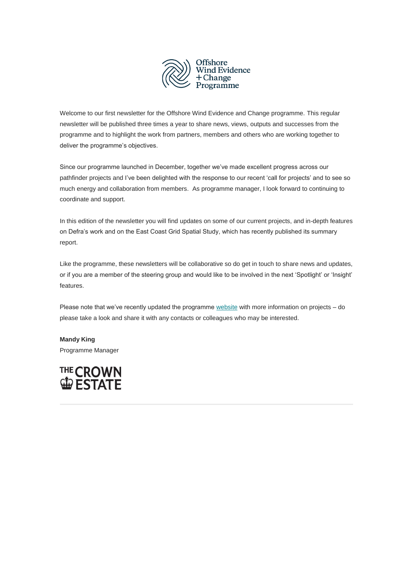

Welcome to our first newsletter for the Offshore Wind Evidence and Change programme. This regular newsletter will be published three times a year to share news, views, outputs and successes from the programme and to highlight the work from partners, members and others who are working together to deliver the programme's objectives.

Since our programme launched in December, together we've made excellent progress across our pathfinder projects and I've been delighted with the response to our recent 'call for projects' and to see so much energy and collaboration from members. As programme manager, I look forward to continuing to coordinate and support.

In this edition of the newsletter you will find updates on some of our current projects, and in-depth features on Defra's work and on the East Coast Grid Spatial Study, which has recently published its summary report.

Like the programme, these newsletters will be collaborative so do get in touch to share news and updates, or if you are a member of the steering group and would like to be involved in the next 'Spotlight' or 'Insight' features.

Please note that we've recently updated the programme [website](https://www.thecrownestate.co.uk/en-gb/what-we-do/on-the-seabed/offshore-wind-evidence-and-change-programme/) with more information on projects - do please take a look and share it with any contacts or colleagues who may be interested.

**Mandy King** Programme Manager

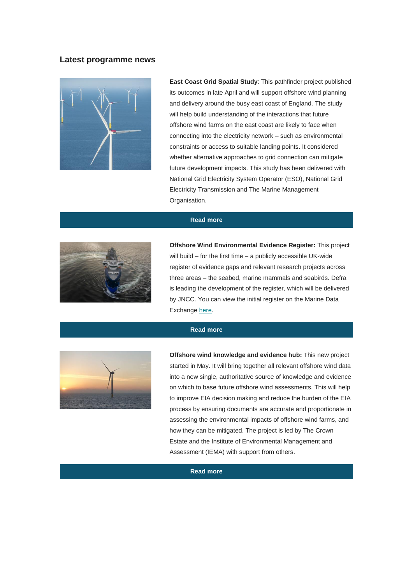## **Latest programme news**



**East Coast Grid Spatial Study**: This pathfinder project published its outcomes in late April and will support offshore wind planning and delivery around the busy east coast of England. The study will help build understanding of the interactions that future offshore wind farms on the east coast are likely to face when connecting into the electricity network – such as environmental constraints or access to suitable landing points. It considered whether alternative approaches to grid connection can mitigate future development impacts. This study has been delivered with National Grid Electricity System Operator (ESO), National Grid Electricity Transmission and The Marine Management Organisation.

## **[Read more](https://www.thecrownestate.co.uk/en-gb/what-we-do/on-the-seabed/offshore-wind-evidence-and-change-programme/offshore-wind-evidence-and-change-programe-themes-and-projects/offshore-wind-evidence-and-change-programme-finding-space-for-offshore-wind/)**



**Offshore Wind Environmental Evidence Register:** This project will build – for the first time – a publicly accessible UK-wide register of evidence gaps and relevant research projects across three areas – the seabed, marine mammals and seabirds. Defra is leading the development of the register, which will be delivered by JNCC. You can view the initial register on the Marine Data Exchange [here.](https://protect-eu.mimecast.com/s/f_CFCoQN5sr51n4f18uWB?domain=marinedataexchange.co.uk)

## **[Read more](https://protect-eu.mimecast.com/s/f_CFCoQN5sr51n4f18uWB?domain=marinedataexchange.co.uk)**



**Offshore wind knowledge and evidence hub:** This new project started in May. It will bring together all relevant offshore wind data into a new single, authoritative source of knowledge and evidence on which to base future offshore wind assessments. This will help to improve EIA decision making and reduce the burden of the EIA process by ensuring documents are accurate and proportionate in assessing the environmental impacts of offshore wind farms, and how they can be mitigated. The project is led by The Crown Estate and the Institute of Environmental Management and Assessment (IEMA) with support from others.

### **[Read more](https://www.thecrownestate.co.uk/en-gb/what-we-do/on-the-seabed/offshore-wind-evidence-and-change-programme/offshore-wind-evidence-and-change-programe-themes-and-projects/improving-understanding-of-environmental-impacts/)**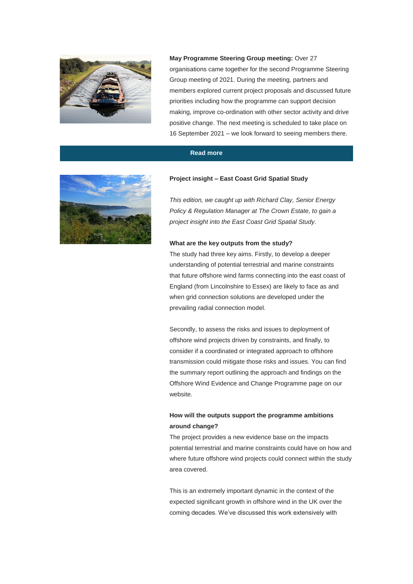

**May Programme Steering Group meeting:** Over 27 organisations came together for the second Programme Steering Group meeting of 2021. During the meeting, partners and members explored current project proposals and discussed future priorities including how the programme can support decision making, improve co-ordination with other sector activity and drive positive change. The next meeting is scheduled to take place on 16 September 2021 – we look forward to seeing members there.

## **[Read more](https://www.thecrownestate.co.uk/en-gb/what-we-do/on-the-seabed/offshore-wind-evidence-and-change-programme/offshore-wind-evidence-and-change-programme-meetings/)**



#### **Project insight – East Coast Grid Spatial Study**

*This edition, we caught up with Richard Clay, Senior Energy Policy & Regulation Manager at The Crown Estate, to gain a project insight into the East Coast Grid Spatial Study.*

### **What are the key outputs from the study?**

The study had three key aims. Firstly, to develop a deeper understanding of potential terrestrial and marine constraints that future offshore wind farms connecting into the east coast of England (from Lincolnshire to Essex) are likely to face as and when grid connection solutions are developed under the prevailing radial connection model.

Secondly, to assess the risks and issues to deployment of offshore wind projects driven by constraints, and finally, to consider if a coordinated or integrated approach to offshore transmission could mitigate those risks and issues. You can find the summary report outlining the approach and findings on the Offshore Wind Evidence and Change Programme page on our website.

# **How will the outputs support the programme ambitions around change?**

The project provides a new evidence base on the impacts potential terrestrial and marine constraints could have on how and where future offshore wind projects could connect within the study area covered.

This is an extremely important dynamic in the context of the expected significant growth in offshore wind in the UK over the coming decades. We've discussed this work extensively with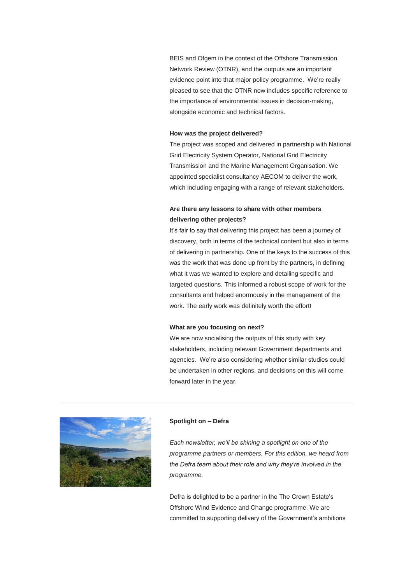BEIS and Ofgem in the context of the Offshore Transmission Network Review (OTNR), and the outputs are an important evidence point into that major policy programme. We're really pleased to see that the OTNR now includes specific reference to the importance of environmental issues in decision-making, alongside economic and technical factors.

### **How was the project delivered?**

The project was scoped and delivered in partnership with National Grid Electricity System Operator, National Grid Electricity Transmission and the Marine Management Organisation. We appointed specialist consultancy AECOM to deliver the work, which including engaging with a range of relevant stakeholders.

# **Are there any lessons to share with other members delivering other projects?**

It's fair to say that delivering this project has been a journey of discovery, both in terms of the technical content but also in terms of delivering in partnership. One of the keys to the success of this was the work that was done up front by the partners, in defining what it was we wanted to explore and detailing specific and targeted questions. This informed a robust scope of work for the consultants and helped enormously in the management of the work. The early work was definitely worth the effort!

### **What are you focusing on next?**

We are now socialising the outputs of this study with key stakeholders, including relevant Government departments and agencies. We're also considering whether similar studies could be undertaken in other regions, and decisions on this will come forward later in the year.



### **Spotlight on – Defra**

*Each newsletter, we'll be shining a spotlight on one of the programme partners or members. For this edition, we heard from the Defra team about their role and why they're involved in the programme.*

Defra is delighted to be a partner in the The Crown Estate's Offshore Wind Evidence and Change programme. We are committed to supporting delivery of the Government's ambitions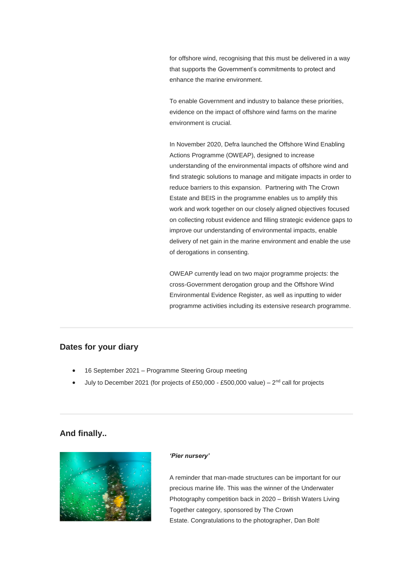for offshore wind, recognising that this must be delivered in a way that supports the Government's commitments to protect and enhance the marine environment.

To enable Government and industry to balance these priorities, evidence on the impact of offshore wind farms on the marine environment is crucial.

In November 2020, Defra launched the Offshore Wind Enabling Actions Programme (OWEAP), designed to increase understanding of the environmental impacts of offshore wind and find strategic solutions to manage and mitigate impacts in order to reduce barriers to this expansion. Partnering with The Crown Estate and BEIS in the programme enables us to amplify this work and work together on our closely aligned objectives focused on collecting robust evidence and filling strategic evidence gaps to improve our understanding of environmental impacts, enable delivery of net gain in the marine environment and enable the use of derogations in consenting.

OWEAP currently lead on two major programme projects: the cross-Government derogation group and the Offshore Wind Environmental Evidence Register, as well as inputting to wider programme activities including its extensive research programme.

# **Dates for your diary**

- 16 September 2021 Programme Steering Group meeting
- $\bullet$  July to December 2021 (for projects of £50,000 £500,000 value) 2<sup>nd</sup> call for projects

# **And finally..**



#### *'Pier nursery'*

A reminder that man-made structures can be important for our precious marine life. This was the winner of the Underwater Photography competition back in 2020 – British Waters Living Together category, sponsored by The Crown Estate. Congratulations to the photographer, Dan Bolt!